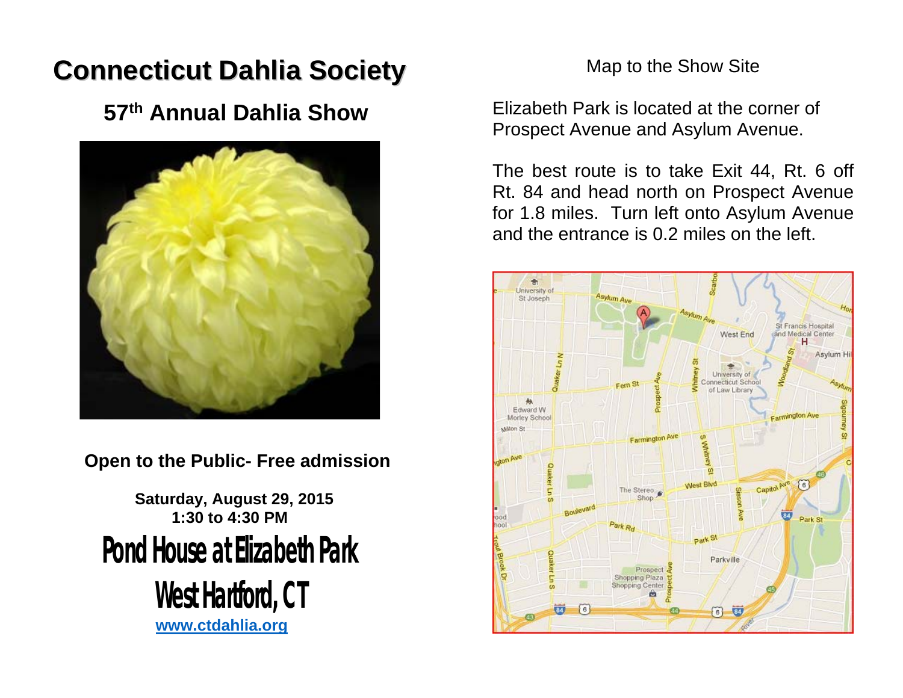# **Connecticut Dahlia Society**

## **57th Annual Dahlia Show**



 **Open to the Public- Free admission** 

 **Saturday, August 29, 2015 1:30 to 4:30 PMPond House at Elizabeth Park West Hartford, CT**

**www.ctdahlia.org**

### Map to the Show Site

Elizabeth Park is located at the corner of Prospect Avenue and Asylum Avenue.

The best route is to take Exit 44, Rt. 6 off Rt. 84 and head north on Prospect Avenue for 1.8 miles. Turn left onto Asylum Avenue and the entrance is 0.2 miles on the left.

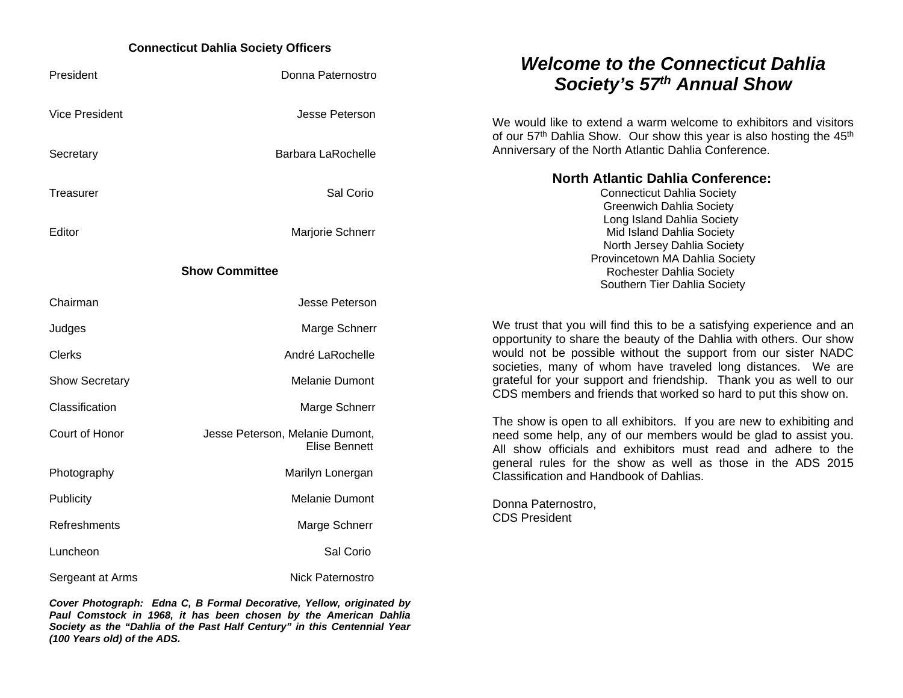#### **Connecticut Dahlia Society Officers**

| President             | Donna Paternostro                                       | <b>Welcome to the Connecticut Dahlia</b><br>Society's 57th Annual Show                                                                                                                                                                                                                                             |  |
|-----------------------|---------------------------------------------------------|--------------------------------------------------------------------------------------------------------------------------------------------------------------------------------------------------------------------------------------------------------------------------------------------------------------------|--|
| <b>Vice President</b> | Jesse Peterson                                          | We would like to extend a warm welcome to exhibitors and visitors<br>of our 57 <sup>th</sup> Dahlia Show. Our show this year is also hosting the 45 <sup>th</sup><br>Anniversary of the North Atlantic Dahlia Conference.                                                                                          |  |
| Secretary             | <b>Barbara LaRochelle</b>                               |                                                                                                                                                                                                                                                                                                                    |  |
| Treasurer             | Sal Corio                                               | <b>North Atlantic Dahlia Conference:</b><br><b>Connecticut Dahlia Society</b><br><b>Greenwich Dahlia Society</b>                                                                                                                                                                                                   |  |
| Editor                | Marjorie Schnerr                                        | Long Island Dahlia Society<br>Mid Island Dahlia Society<br>North Jersey Dahlia Society                                                                                                                                                                                                                             |  |
|                       | <b>Show Committee</b>                                   | Provincetown MA Dahlia Society<br>Rochester Dahlia Society<br>Southern Tier Dahlia Society                                                                                                                                                                                                                         |  |
| Chairman              | Jesse Peterson                                          |                                                                                                                                                                                                                                                                                                                    |  |
| Judges                | Marge Schnerr                                           | We trust that you will find this to be a satisfying experience and an<br>opportunity to share the beauty of the Dahlia with others. Our show                                                                                                                                                                       |  |
| <b>Clerks</b>         | André LaRochelle                                        | would not be possible without the support from our sister NADC<br>societies, many of whom have traveled long distances. We are                                                                                                                                                                                     |  |
| <b>Show Secretary</b> | <b>Melanie Dumont</b>                                   | grateful for your support and friendship. Thank you as well to our<br>CDS members and friends that worked so hard to put this show on.                                                                                                                                                                             |  |
| Classification        | Marge Schnerr                                           | The show is open to all exhibitors. If you are new to exhibiting and<br>need some help, any of our members would be glad to assist you.<br>All show officials and exhibitors must read and adhere to the<br>general rules for the show as well as those in the ADS 2015<br>Classification and Handbook of Dahlias. |  |
| Court of Honor        | Jesse Peterson, Melanie Dumont,<br><b>Elise Bennett</b> |                                                                                                                                                                                                                                                                                                                    |  |
| Photography           | Marilyn Lonergan                                        |                                                                                                                                                                                                                                                                                                                    |  |
| <b>Publicity</b>      | <b>Melanie Dumont</b>                                   | Donna Paternostro,<br><b>CDS President</b>                                                                                                                                                                                                                                                                         |  |
| Refreshments          | Marge Schnerr                                           |                                                                                                                                                                                                                                                                                                                    |  |
| Luncheon              | Sal Corio                                               |                                                                                                                                                                                                                                                                                                                    |  |
| Sergeant at Arms      | Nick Paternostro                                        |                                                                                                                                                                                                                                                                                                                    |  |

*Cover Photograph: Edna C, B Formal Decorative, Yellow, originated by Paul Comstock in 1968, it has been chosen by the American Dahlia Society as the "Dahlia of the Past Half Century" in this Centennial Year (100 Years old) of the ADS.*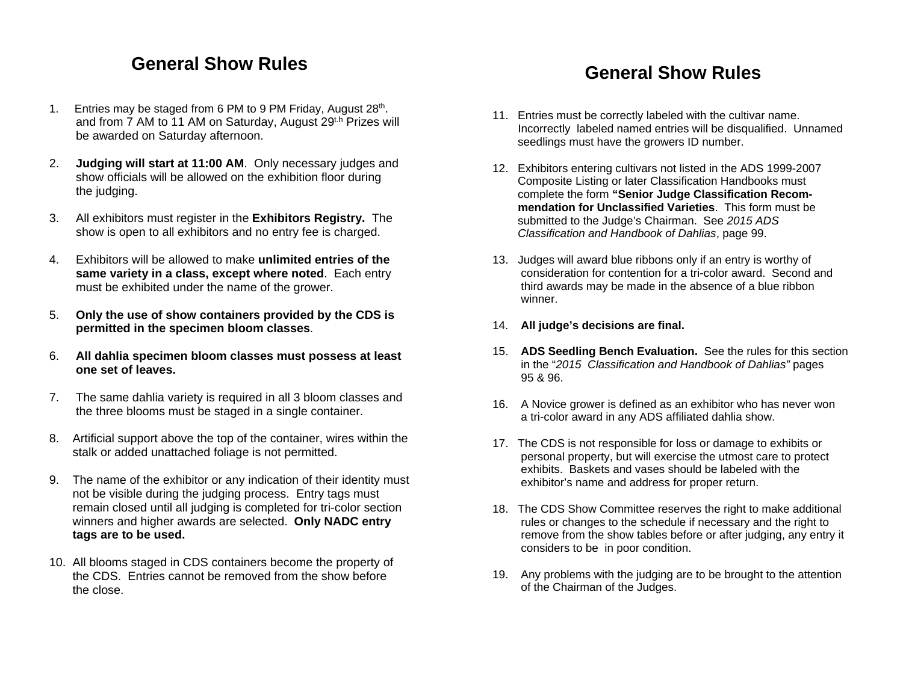### **General Show Rules**

- 1. Entries may be staged from 6 PM to 9 PM Friday, August 28<sup>th</sup>. and from 7 AM to 11 AM on Saturday, August 29<sup>th</sup> Prizes will be awarded on Saturday afternoon.
- 2. **Judging will start at 11:00 AM**. Only necessary judges and show officials will be allowed on the exhibition floor during the judging.
- 3. All exhibitors must register in the **Exhibitors Registry.** The show is open to all exhibitors and no entry fee is charged.
- 4. Exhibitors will be allowed to make **unlimited entries of the same variety in a class, except where noted**. Each entry must be exhibited under the name of the grower.
- 5. **Only the use of show containers provided by the CDS is permitted in the specimen bloom classes**.
- 6. **All dahlia specimen bloom classes must possess at least one set of leaves.**
- 7. The same dahlia variety is required in all 3 bloom classes and the three blooms must be staged in a single container.
- 8. Artificial support above the top of the container, wires within the stalk or added unattached foliage is not permitted.
- 9. The name of the exhibitor or any indication of their identity must not be visible during the judging process. Entry tags must remain closed until all judging is completed for tri-color section winners and higher awards are selected. **Only NADC entry tags are to be used.**
- 10. All blooms staged in CDS containers become the property of the CDS. Entries cannot be removed from the show before the close.

### **General Show Rules**

- 11. Entries must be correctly labeled with the cultivar name. Incorrectly labeled named entries will be disqualified. Unnamed seedlings must have the growers ID number.
- 12. Exhibitors entering cultivars not listed in the ADS 1999-2007 Composite Listing or later Classification Handbooks must complete the form **"Senior Judge Classification Recom mendation for Unclassified Varieties**. This form must be submitted to the Judge's Chairman. See *2015 ADS Classification and Handbook of Dahlias*, page 99.
- 13. Judges will award blue ribbons only if an entry is worthy of consideration for contention for a tri-color award. Second and third awards may be made in the absence of a blue ribbon winner.
- 14. **All judge's decisions are final.**
- 15. **ADS Seedling Bench Evaluation.** See the rules for this section in the "*2015 Classification and Handbook of Dahlias"* pages 95 & 96.
- 16. A Novice grower is defined as an exhibitor who has never won a tri-color award in any ADS affiliated dahlia show.
- 17. The CDS is not responsible for loss or damage to exhibits or personal property, but will exercise the utmost care to protect exhibits. Baskets and vases should be labeled with the exhibitor's name and address for proper return.
- 18. The CDS Show Committee reserves the right to make additional rules or changes to the schedule if necessary and the right to remove from the show tables before or after judging, any entry it considers to be in poor condition.
- 19. Any problems with the judging are to be brought to the attention of the Chairman of the Judges.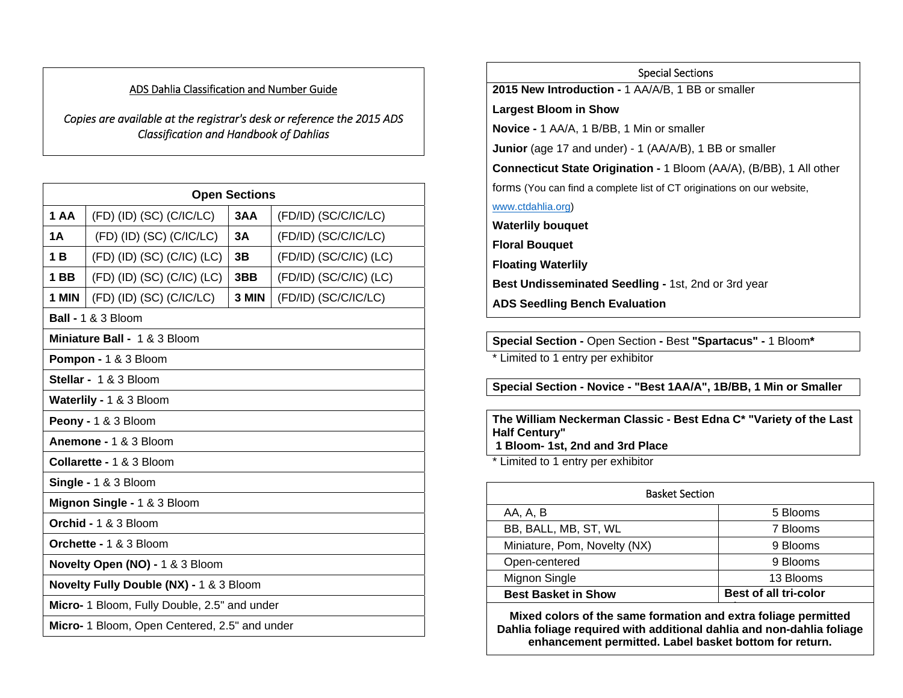#### ADS Dahlia Classification and Number Guide

*Copies are available at the registrar's desk or reference the 2015 ADS Classification and Handbook of Dahlias*

| <b>Open Sections</b>                          |                              |       |                              |  |
|-----------------------------------------------|------------------------------|-------|------------------------------|--|
| 1 AA                                          | $(FD)$ (ID) (SC) (C/IC/LC)   | 3AA   | (FD/ID) (SC/C/IC/LC)         |  |
| 1Α                                            | $(FD)$ (ID) (SC) (C/IC/LC)   | 3A    | (FD/ID) (SC/C/IC/LC)         |  |
| 1 <sub>B</sub>                                | $(FD)$ (ID) (SC) (C/IC) (LC) | 3B    | $(FD/ID)$ $(SC/C/IC)$ $(LC)$ |  |
| 1 BB                                          | $(FD)$ (ID) (SC) (C/IC) (LC) | 3BB   | $(FD/ID)$ $(SC/C/IC)$ $(LC)$ |  |
| 1 MIN                                         | $(FD)$ (ID) (SC) (C/IC/LC)   | 3 MIN | (FD/ID) (SC/C/IC/LC)         |  |
| <b>Ball - 1 &amp; 3 Bloom</b>                 |                              |       |                              |  |
| Miniature Ball - 1 & 3 Bloom                  |                              |       |                              |  |
| Pompon - 1 & 3 Bloom                          |                              |       |                              |  |
|                                               | Stellar - 1 & 3 Bloom        |       |                              |  |
|                                               | Waterlily - 1 & 3 Bloom      |       |                              |  |
| Peony - 1 & 3 Bloom                           |                              |       |                              |  |
| Anemone - 1 & 3 Bloom                         |                              |       |                              |  |
| Collarette - 1 & 3 Bloom                      |                              |       |                              |  |
| Single - 1 & 3 Bloom                          |                              |       |                              |  |
| Mignon Single - 1 & 3 Bloom                   |                              |       |                              |  |
| Orchid - 1 & 3 Bloom                          |                              |       |                              |  |
| Orchette - 1 & 3 Bloom                        |                              |       |                              |  |
| Novelty Open (NO) - 1 & 3 Bloom               |                              |       |                              |  |
| Novelty Fully Double (NX) - 1 & 3 Bloom       |                              |       |                              |  |
| Micro- 1 Bloom, Fully Double, 2.5" and under  |                              |       |                              |  |
| Micro- 1 Bloom, Open Centered, 2.5" and under |                              |       |                              |  |

Special Sections **2015 New Introduction -** 1 AA/A/B, 1 BB or smaller **Largest Bloom in Show Novice -** 1 AA/A, 1 B/BB, 1 Min or smaller **Junior** (age 17 and under) - 1 (AA/A/B), 1 BB or smaller **Connecticut State Origination -** 1 Bloom (AA/A), (B/BB), 1 All other forms (You can find a complete list of CT originations on our website, www.ctdahlia.org) **Waterlily bouquet Floral Bouquet Floating Waterlily Best Undisseminated Seedling -** 1st, 2nd or 3rd year **ADS Seedling Bench Evaluation** 

**Special Section -** Open Section **-** Best **"Spartacus" -** 1 Bloom**\*** 

\* Limited to 1 entry per exhibitor

**Special Section - Novice - "Best 1AA/A", 1B/BB, 1 Min or Smaller**

**The William Neckerman Classic - Best Edna C\* "Variety of the Last Half Century" 1 Bloom- 1st, 2nd and 3rd Place** 

\* Limited to 1 entry per exhibitor

| <b>Basket Section</b>        |                              |  |  |
|------------------------------|------------------------------|--|--|
| AA, A, B                     | 5 Blooms                     |  |  |
| BB, BALL, MB, ST, WL         | 7 Blooms                     |  |  |
| Miniature, Pom, Novelty (NX) | 9 Blooms                     |  |  |
| Open-centered                | 9 Blooms                     |  |  |
| Mignon Single                | 13 Blooms                    |  |  |
| <b>Best Basket in Show</b>   | <b>Best of all tri-color</b> |  |  |
|                              |                              |  |  |

 **Mixed colors of the same formation and extra foliage permitted Dahlia foliage required with additional dahlia and non-dahlia foliage enhancement permitted. Label basket bottom for return.**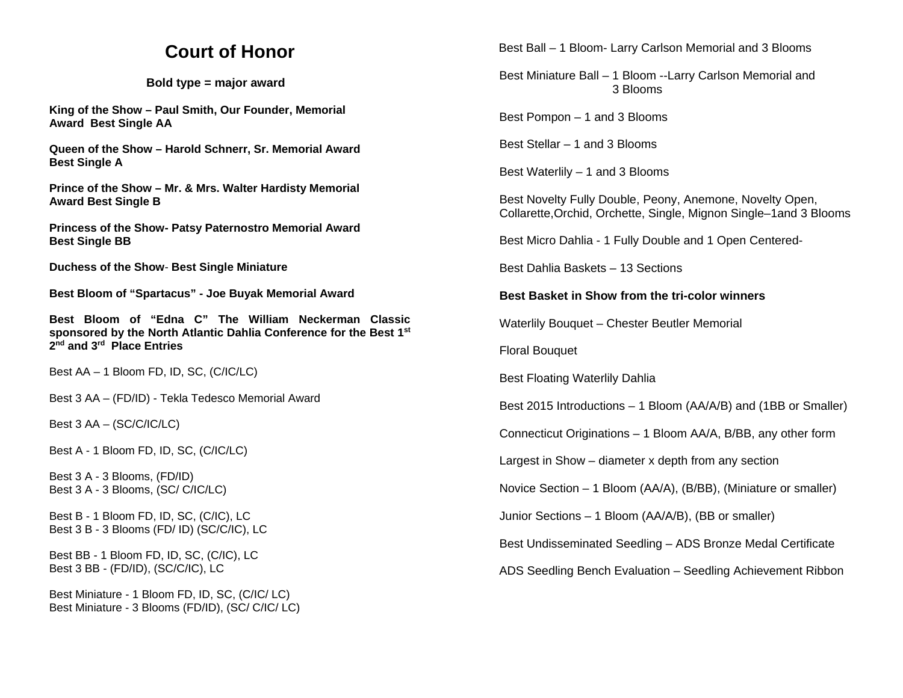### **Court of Honor**

#### **Bold type = major award**

**King of the Show – Paul Smith, Our Founder, Memorial Award Best Single AA** 

**Queen of the Show – Harold Schnerr, Sr. Memorial Award Best Single A** 

**Prince of the Show – Mr. & Mrs. Walter Hardisty Memorial Award Best Single B**

**Princess of the Show- Patsy Paternostro Memorial Award Best Single BB** 

**Duchess of the Show**- **Best Single Miniature**

**Best Bloom of "Spartacus" - Joe Buyak Memorial Award** 

**Best Bloom of "Edna C" The William Neckerman Classic sponsored by the North Atlantic Dahlia Conference for the Best 1st 2nd and 3rd Place Entries** 

Best AA – 1 Bloom FD, ID, SC, (C/IC/LC)

Best 3 AA – (FD/ID) - Tekla Tedesco Memorial Award

Best 3 AA – (SC/C/IC/LC)

Best A - 1 Bloom FD, ID, SC, (C/IC/LC)

Best 3 A - 3 Blooms, (FD/ID) Best 3 A - 3 Blooms, (SC/ C/IC/LC)

Best B - 1 Bloom FD, ID, SC, (C/IC), LC Best 3 B - 3 Blooms (FD/ ID) (SC/C/IC), LC

Best BB - 1 Bloom FD, ID, SC, (C/IC), LC Best 3 BB - (FD/ID), (SC/C/IC), LC

Best Miniature - 1 Bloom FD, ID, SC, (C/IC/ LC) Best Miniature - 3 Blooms (FD/ID), (SC/ C/IC/ LC) Best Ball – 1 Bloom- Larry Carlson Memorial and 3 Blooms

 Best Miniature Ball – 1 Bloom --Larry Carlson Memorial and 3 Blooms

Best Pompon – 1 and 3 Blooms

Best Stellar – 1 and 3 Blooms

Best Waterlily – 1 and 3 Blooms

Best Novelty Fully Double, Peony, Anemone, Novelty Open, Collarette,Orchid, Orchette, Single, Mignon Single–1and 3 Blooms

Best Micro Dahlia - 1 Fully Double and 1 Open Centered-

Best Dahlia Baskets – 13 Sections

#### **Best Basket in Show from the tri-color winners**

Waterlily Bouquet – Chester Beutler Memorial

Floral Bouquet

Best Floating Waterlily Dahlia

Best 2015 Introductions – 1 Bloom (AA/A/B) and (1BB or Smaller)

Connecticut Originations – 1 Bloom AA/A, B/BB, any other form

Largest in Show – diameter x depth from any section

Novice Section – 1 Bloom (AA/A), (B/BB), (Miniature or smaller)

Junior Sections – 1 Bloom (AA/A/B), (BB or smaller)

Best Undisseminated Seedling – ADS Bronze Medal Certificate

ADS Seedling Bench Evaluation – Seedling Achievement Ribbon